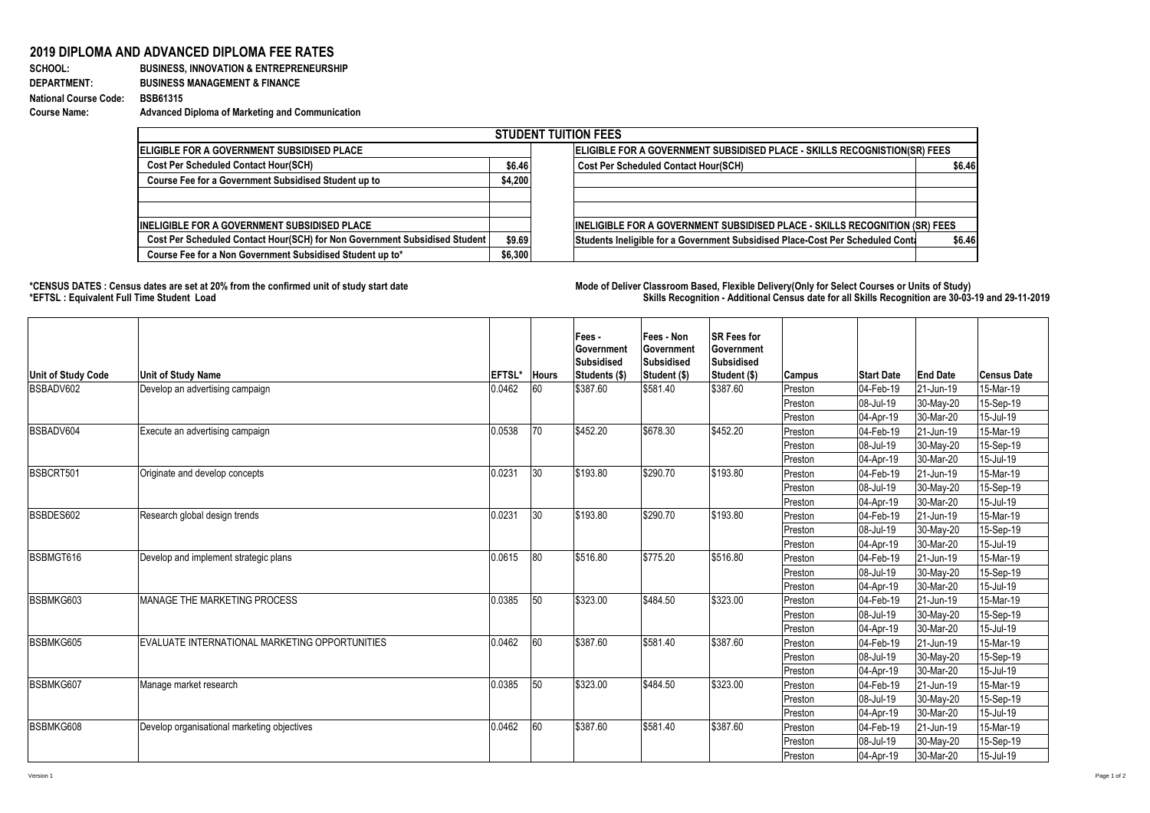## **2019 DIPLOMA AND ADVANCED DIPLOMA FEE RATES**<br>**BUSINESS, INNOVATION & ENTREPRENEURS**

## **SCHOOL:** BUSINESS, INNOVATION & ENTREPRENEURSHIP<br>DEPARTMENT: BUSINESS MANAGEMENT & FINANCE **DEPARTMENT: BUSINESS MANAGEMENT & FINANCE National Course Code: BSB61315 Course Name: Advanced Diploma of Marketing and Communication**

| <b>STUDENT TUITION FEES</b>                                                |                                                                           |                                                                                          |  |  |  |  |  |  |
|----------------------------------------------------------------------------|---------------------------------------------------------------------------|------------------------------------------------------------------------------------------|--|--|--|--|--|--|
| <b>IELIGIBLE FOR A GOVERNMENT SUBSIDISED PLACE</b>                         | ELIGIBLE FOR A GOVERNMENT SUBSIDISED PLACE - SKILLS RECOGNISTION(SR) FEES |                                                                                          |  |  |  |  |  |  |
| <b>Cost Per Scheduled Contact Hour(SCH)</b>                                | \$6.46                                                                    | <b>Cost Per Scheduled Contact Hour(SCH)</b><br>\$6.46                                    |  |  |  |  |  |  |
| Course Fee for a Government Subsidised Student up to                       | \$4,200                                                                   |                                                                                          |  |  |  |  |  |  |
|                                                                            |                                                                           |                                                                                          |  |  |  |  |  |  |
| <b>IINELIGIBLE FOR A GOVERNMENT SUBSIDISED PLACE</b>                       |                                                                           | <b>INELIGIBLE FOR A GOVERNMENT SUBSIDISED PLACE - SKILLS RECOGNITION (SR) FEES</b>       |  |  |  |  |  |  |
| Cost Per Scheduled Contact Hour(SCH) for Non Government Subsidised Student | \$9.69                                                                    | Students Ineligible for a Government Subsidised Place-Cost Per Scheduled Conti<br>\$6.46 |  |  |  |  |  |  |
| Course Fee for a Non Government Subsidised Student up to*                  | \$6,300                                                                   |                                                                                          |  |  |  |  |  |  |

**\*CENSUS DATES : Census dates are set at 20% from the confirmed unit of study start date Mode of Delivery:Classroom Based, Flexible Delivery(Only for Select Courses or Units of Study) \*EFTSL : Equivalent Full Time Student Load Skills Recognition - Additional Census date for all Skills Recognition are 30-03-19 and 29-11-2019** 

| Unit of Study Code | <b>Unit of Study Name</b>                      | <b>EFTSL*</b> | <b>Hours</b> | Fees -<br>Government<br><b>Subsidised</b><br>Students (\$) | Fees - Non<br>Government<br><b>Subsidised</b><br>Student (\$) | <b>SR Fees for</b><br>Government<br><b>Subsidised</b><br>Student (\$) | <b>Campus</b> | <b>Start Date</b> | <b>End Date</b> | <b>Census Date</b> |
|--------------------|------------------------------------------------|---------------|--------------|------------------------------------------------------------|---------------------------------------------------------------|-----------------------------------------------------------------------|---------------|-------------------|-----------------|--------------------|
| BSBADV602          | Develop an advertising campaign                | 0.0462        | 160          | \$387.60                                                   | \$581.40                                                      | \$387.60                                                              | Preston       | 04-Feb-19         | 21-Jun-19       | 15-Mar-19          |
|                    |                                                |               |              |                                                            |                                                               |                                                                       | Preston       | 08-Jul-19         | 30-May-20       | 15-Sep-19          |
|                    |                                                |               |              |                                                            |                                                               |                                                                       | Preston       | 04-Apr-19         | 30-Mar-20       | 15-Jul-19          |
| BSBADV604          | Execute an advertising campaign                | 0.0538        | 170          | \$452.20                                                   | \$678.30                                                      | \$452.20                                                              | Preston       | 04-Feb-19         | 21-Jun-19       | 15-Mar-19          |
|                    |                                                |               |              |                                                            |                                                               |                                                                       | Preston       | 08-Jul-19         | 30-May-20       | 15-Sep-19          |
|                    |                                                |               |              |                                                            |                                                               |                                                                       | Preston       | 04-Apr-19         | 30-Mar-20       | 15-Jul-19          |
| BSBCRT501          | Originate and develop concepts                 | 0.0231        | 30           | \$193.80                                                   | \$290.70                                                      | \$193.80                                                              | Preston       | 04-Feb-19         | 21-Jun-19       | 15-Mar-19          |
|                    |                                                |               |              |                                                            |                                                               |                                                                       | Preston       | 08-Jul-19         | 30-May-20       | 15-Sep-19          |
|                    |                                                |               |              |                                                            |                                                               |                                                                       | Preston       | 04-Apr-19         | 30-Mar-20       | 15-Jul-19          |
| BSBDES602          | Research global design trends                  | 0.0231        | 30           | \$193.80                                                   | \$290.70                                                      | \$193.80                                                              | Preston       | 04-Feb-19         | 21-Jun-19       | 15-Mar-19          |
|                    |                                                |               |              |                                                            |                                                               |                                                                       | Preston       | 08-Jul-19         | 30-May-20       | 15-Sep-19          |
|                    |                                                |               |              |                                                            |                                                               |                                                                       | Preston       | 04-Apr-19         | 30-Mar-20       | 15-Jul-19          |
| BSBMGT616          | Develop and implement strategic plans          | 0.0615        | 180          | \$516.80                                                   | \$775.20                                                      | \$516.80                                                              | Preston       | 04-Feb-19         | 21-Jun-19       | 15-Mar-19          |
|                    |                                                |               |              |                                                            |                                                               |                                                                       | Preston       | 08-Jul-19         | 30-May-20       | 15-Sep-19          |
|                    |                                                |               |              |                                                            |                                                               |                                                                       | Preston       | 04-Apr-19         | 30-Mar-20       | 15-Jul-19          |
| BSBMKG603          | <b>MANAGE THE MARKETING PROCESS</b>            | 0.0385        | 50           | \$323.00                                                   | \$484.50                                                      | \$323.00                                                              | Preston       | 04-Feb-19         | 21-Jun-19       | 15-Mar-19          |
|                    |                                                |               |              |                                                            |                                                               |                                                                       | Preston       | 08-Jul-19         | 30-May-20       | 15-Sep-19          |
|                    |                                                |               |              |                                                            |                                                               |                                                                       | Preston       | 04-Apr-19         | 30-Mar-20       | 15-Jul-19          |
| BSBMKG605          | EVALUATE INTERNATIONAL MARKETING OPPORTUNITIES | 0.0462        | 160          | \$387.60                                                   | \$581.40                                                      | \$387.60                                                              | Preston       | 04-Feb-19         | 21-Jun-19       | 15-Mar-19          |
|                    |                                                |               |              |                                                            |                                                               |                                                                       | Preston       | 08-Jul-19         | 30-May-20       | 15-Sep-19          |
|                    |                                                |               |              |                                                            |                                                               |                                                                       | Preston       | 04-Apr-19         | 30-Mar-20       | 15-Jul-19          |
| BSBMKG607          | Manage market research                         | 0.0385        | 150          | \$323.00                                                   | \$484.50                                                      | \$323.00                                                              | Preston       | 04-Feb-19         | 21-Jun-19       | 15-Mar-19          |
|                    |                                                |               |              |                                                            |                                                               |                                                                       | Preston       | 08-Jul-19         | 30-May-20       | 15-Sep-19          |
|                    |                                                |               |              |                                                            |                                                               |                                                                       | Preston       | 04-Apr-19         | 30-Mar-20       | 15-Jul-19          |
| BSBMKG608          | Develop organisational marketing objectives    | 0.0462        | 160          | \$387.60                                                   | \$581.40                                                      | \$387.60                                                              | Preston       | 04-Feb-19         | 21-Jun-19       | 15-Mar-19          |
|                    |                                                |               |              |                                                            |                                                               |                                                                       | Preston       | 08-Jul-19         | 30-May-20       | 15-Sep-19          |
|                    |                                                |               |              |                                                            |                                                               |                                                                       | Preston       | 04-Apr-19         | 30-Mar-20       | 15-Jul-19          |